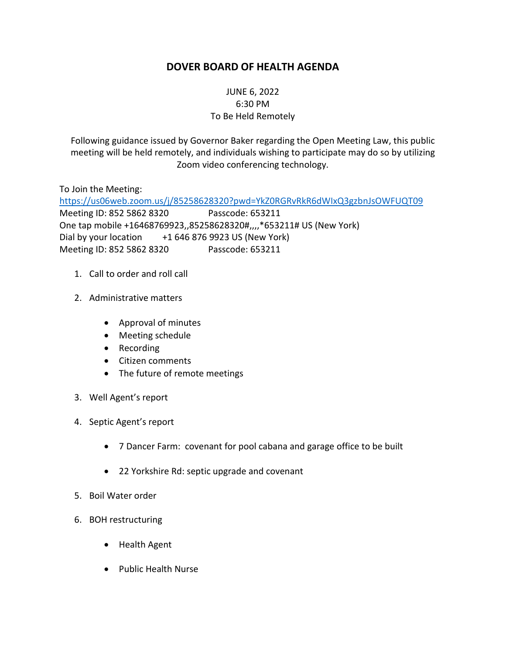# **DOVER BOARD OF HEALTH AGENDA**

### JUNE 6, 2022 6:30 PM To Be Held Remotely

Following guidance issued by Governor Baker regarding the Open Meeting Law, this public meeting will be held remotely, and individuals wishing to participate may do so by utilizing Zoom video conferencing technology.

To Join the Meeting: <https://us06web.zoom.us/j/85258628320?pwd=YkZ0RGRvRkR6dWIxQ3gzbnJsOWFUQT09> Meeting ID: 852 5862 8320 Passcode: 653211 One tap mobile +16468769923,,85258628320#,,,,\*653211# US (New York) Dial by your location  $+16468769923$  US (New York) Meeting ID: 852 5862 8320 Passcode: 653211

- 1. Call to order and roll call
- 2. Administrative matters
	- Approval of minutes
	- Meeting schedule
	- Recording
	- Citizen comments
	- The future of remote meetings
- 3. Well Agent's report
- 4. Septic Agent's report
	- 7 Dancer Farm: covenant for pool cabana and garage office to be built
	- 22 Yorkshire Rd: septic upgrade and covenant
- 5. Boil Water order
- 6. BOH restructuring
	- Health Agent
	- Public Health Nurse